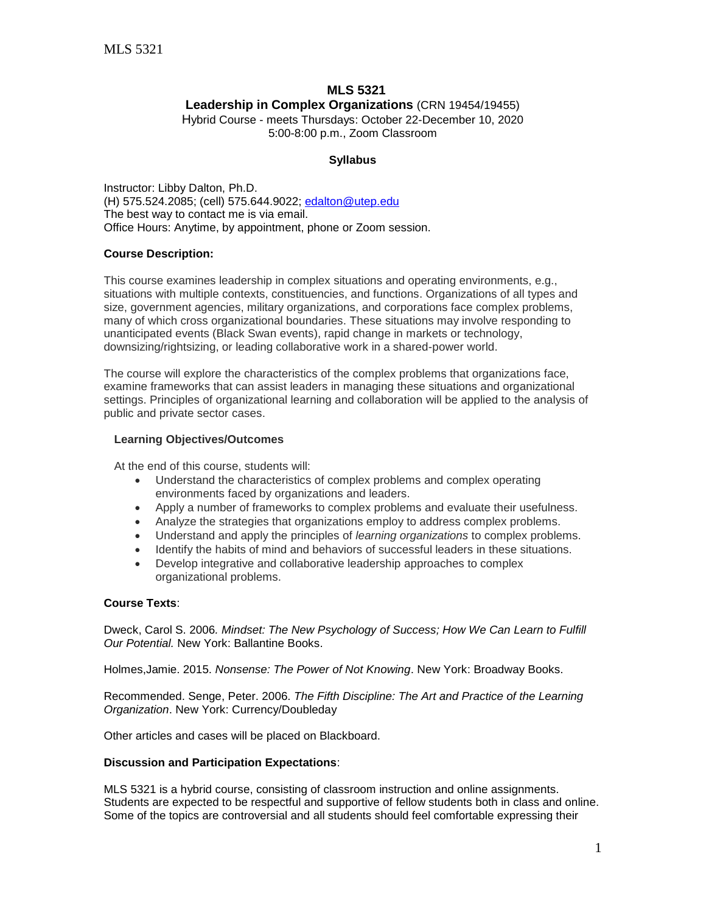# **MLS 5321 Leadership in Complex Organizations** (CRN 19454/19455)

Hybrid Course - meets Thursdays: October 22-December 10, 2020 5:00-8:00 p.m., Zoom Classroom

# **Syllabus**

Instructor: Libby Dalton, Ph.D. (H) 575.524.2085; (cell) 575.644.9022; [edalton@utep.edu](mailto:edalton@utep.edu) The best way to contact me is via email. Office Hours: Anytime, by appointment, phone or Zoom session.

# **Course Description:**

This course examines leadership in complex situations and operating environments, e.g., situations with multiple contexts, constituencies, and functions. Organizations of all types and size, government agencies, military organizations, and corporations face complex problems, many of which cross organizational boundaries. These situations may involve responding to unanticipated events (Black Swan events), rapid change in markets or technology, downsizing/rightsizing, or leading collaborative work in a shared-power world.

The course will explore the characteristics of the complex problems that organizations face, examine frameworks that can assist leaders in managing these situations and organizational settings. Principles of organizational learning and collaboration will be applied to the analysis of public and private sector cases.

# **Learning Objectives/Outcomes**

At the end of this course, students will:

- Understand the characteristics of complex problems and complex operating environments faced by organizations and leaders.
- Apply a number of frameworks to complex problems and evaluate their usefulness.
- Analyze the strategies that organizations employ to address complex problems.
- Understand and apply the principles of *learning organizations* to complex problems.
- Identify the habits of mind and behaviors of successful leaders in these situations.
- Develop integrative and collaborative leadership approaches to complex organizational problems.

# **Course Texts**:

Dweck, Carol S. 2006*. Mindset: The New Psychology of Success; How We Can Learn to Fulfill Our Potential.* New York: Ballantine Books.

Holmes,Jamie. 2015. *Nonsense: The Power of Not Knowing*. New York: Broadway Books.

Recommended. Senge, Peter. 2006. *The Fifth Discipline: The Art and Practice of the Learning Organization*. New York: Currency/Doubleday

Other articles and cases will be placed on Blackboard.

# **Discussion and Participation Expectations**:

MLS 5321 is a hybrid course, consisting of classroom instruction and online assignments. Students are expected to be respectful and supportive of fellow students both in class and online. Some of the topics are controversial and all students should feel comfortable expressing their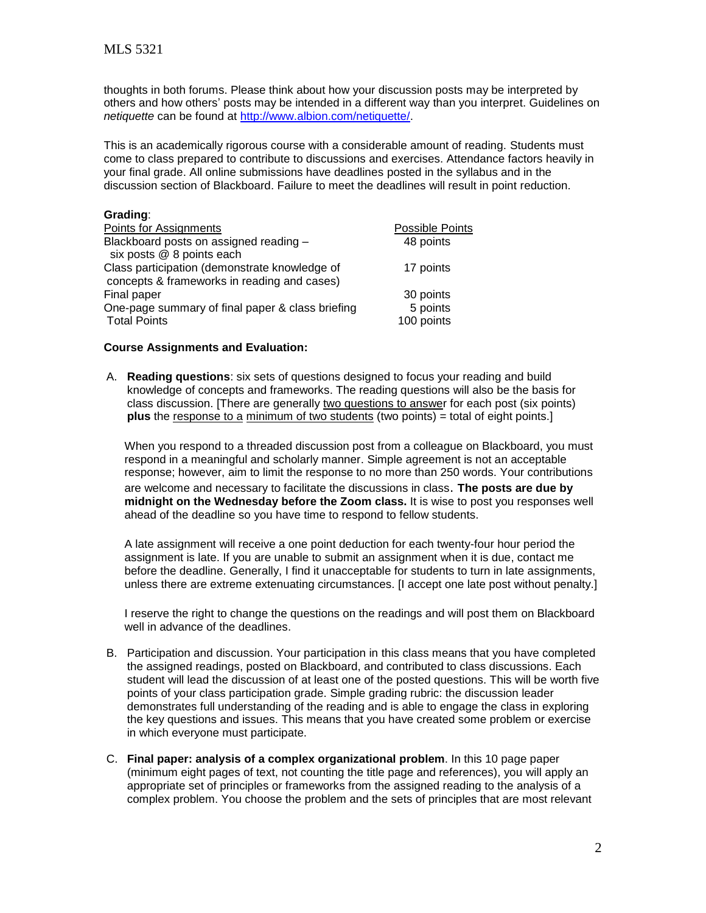thoughts in both forums. Please think about how your discussion posts may be interpreted by others and how others' posts may be intended in a different way than you interpret. Guidelines on *netiquette* can be found at [http://www.albion.com/netiquette/.](http://www.albion.com/netiquette/)

This is an academically rigorous course with a considerable amount of reading. Students must come to class prepared to contribute to discussions and exercises. Attendance factors heavily in your final grade. All online submissions have deadlines posted in the syllabus and in the discussion section of Blackboard. Failure to meet the deadlines will result in point reduction.

# **Grading**:

| Points for Assignments                           | <b>Possible Points</b> |
|--------------------------------------------------|------------------------|
| Blackboard posts on assigned reading -           | 48 points              |
| six posts @ 8 points each                        |                        |
| Class participation (demonstrate knowledge of    | 17 points              |
| concepts & frameworks in reading and cases)      |                        |
| Final paper                                      | 30 points              |
| One-page summary of final paper & class briefing | 5 points               |
| <b>Total Points</b>                              | 100 points             |

#### **Course Assignments and Evaluation:**

A. **Reading questions**: six sets of questions designed to focus your reading and build knowledge of concepts and frameworks. The reading questions will also be the basis for class discussion. [There are generally two questions to answer for each post (six points) **plus** the response to a minimum of two students (two points) = total of eight points.]

When you respond to a threaded discussion post from a colleague on Blackboard, you must respond in a meaningful and scholarly manner. Simple agreement is not an acceptable response; however, aim to limit the response to no more than 250 words. Your contributions are welcome and necessary to facilitate the discussions in class. **The posts are due by midnight on the Wednesday before the Zoom class.** It is wise to post you responses well ahead of the deadline so you have time to respond to fellow students.

A late assignment will receive a one point deduction for each twenty-four hour period the assignment is late. If you are unable to submit an assignment when it is due, contact me before the deadline. Generally, I find it unacceptable for students to turn in late assignments, unless there are extreme extenuating circumstances. [I accept one late post without penalty.]

I reserve the right to change the questions on the readings and will post them on Blackboard well in advance of the deadlines.

- B. Participation and discussion. Your participation in this class means that you have completed the assigned readings, posted on Blackboard, and contributed to class discussions. Each student will lead the discussion of at least one of the posted questions. This will be worth five points of your class participation grade. Simple grading rubric: the discussion leader demonstrates full understanding of the reading and is able to engage the class in exploring the key questions and issues. This means that you have created some problem or exercise in which everyone must participate.
- C. **Final paper: analysis of a complex organizational problem**. In this 10 page paper (minimum eight pages of text, not counting the title page and references), you will apply an appropriate set of principles or frameworks from the assigned reading to the analysis of a complex problem. You choose the problem and the sets of principles that are most relevant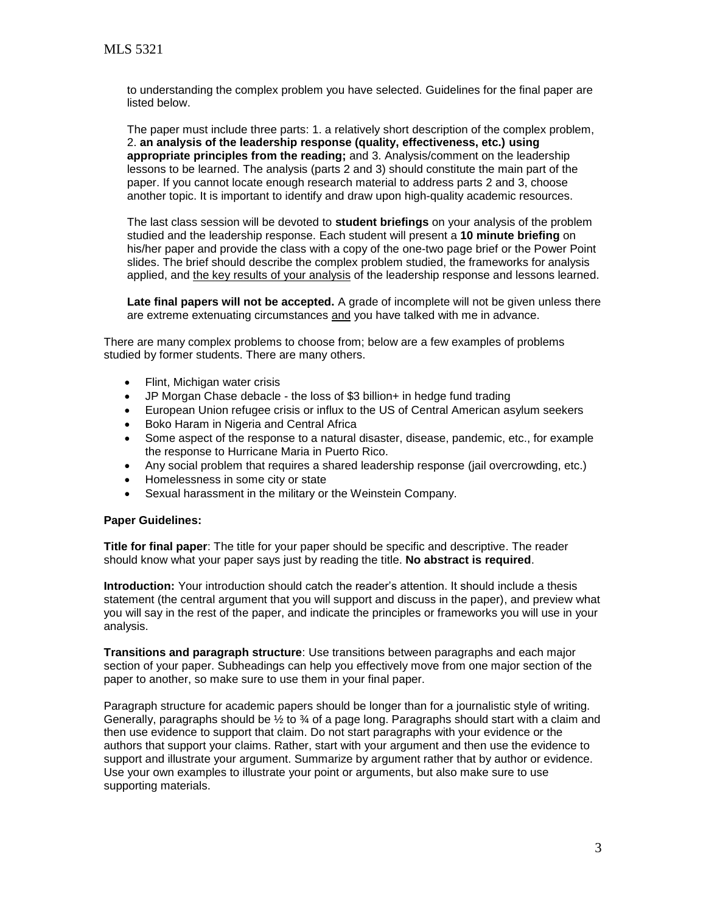to understanding the complex problem you have selected. Guidelines for the final paper are listed below.

The paper must include three parts: 1. a relatively short description of the complex problem, 2. **an analysis of the leadership response (quality, effectiveness, etc.) using appropriate principles from the reading;** and 3. Analysis/comment on the leadership lessons to be learned. The analysis (parts 2 and 3) should constitute the main part of the paper. If you cannot locate enough research material to address parts 2 and 3, choose another topic. It is important to identify and draw upon high-quality academic resources.

The last class session will be devoted to **student briefings** on your analysis of the problem studied and the leadership response. Each student will present a **10 minute briefing** on his/her paper and provide the class with a copy of the one-two page brief or the Power Point slides. The brief should describe the complex problem studied, the frameworks for analysis applied, and the key results of your analysis of the leadership response and lessons learned.

**Late final papers will not be accepted.** A grade of incomplete will not be given unless there are extreme extenuating circumstances and you have talked with me in advance.

There are many complex problems to choose from; below are a few examples of problems studied by former students. There are many others.

- Flint, Michigan water crisis
- JP Morgan Chase debacle the loss of \$3 billion+ in hedge fund trading
- European Union refugee crisis or influx to the US of Central American asylum seekers
- Boko Haram in Nigeria and Central Africa
- Some aspect of the response to a natural disaster, disease, pandemic, etc., for example the response to Hurricane Maria in Puerto Rico.
- Any social problem that requires a shared leadership response (jail overcrowding, etc.)
- Homelessness in some city or state
- Sexual harassment in the military or the Weinstein Company.

# **Paper Guidelines:**

**Title for final paper**: The title for your paper should be specific and descriptive. The reader should know what your paper says just by reading the title. **No abstract is required**.

**Introduction:** Your introduction should catch the reader's attention. It should include a thesis statement (the central argument that you will support and discuss in the paper), and preview what you will say in the rest of the paper, and indicate the principles or frameworks you will use in your analysis.

**Transitions and paragraph structure**: Use transitions between paragraphs and each major section of your paper. Subheadings can help you effectively move from one major section of the paper to another, so make sure to use them in your final paper.

Paragraph structure for academic papers should be longer than for a journalistic style of writing. Generally, paragraphs should be  $\frac{1}{2}$  to  $\frac{3}{4}$  of a page long. Paragraphs should start with a claim and then use evidence to support that claim. Do not start paragraphs with your evidence or the authors that support your claims. Rather, start with your argument and then use the evidence to support and illustrate your argument. Summarize by argument rather that by author or evidence. Use your own examples to illustrate your point or arguments, but also make sure to use supporting materials.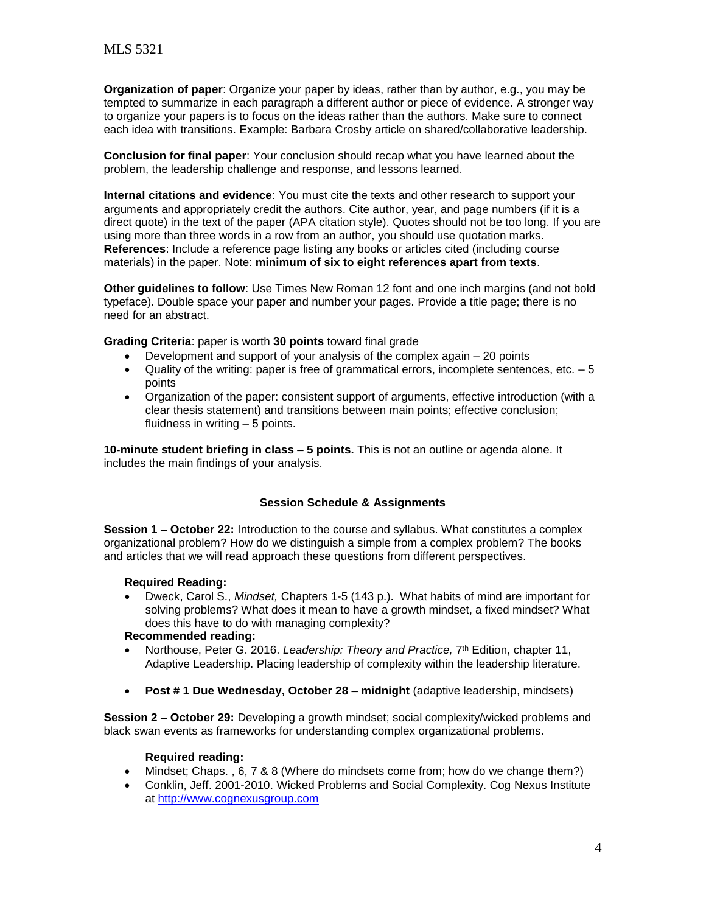**Organization of paper**: Organize your paper by ideas, rather than by author, e.g., you may be tempted to summarize in each paragraph a different author or piece of evidence. A stronger way to organize your papers is to focus on the ideas rather than the authors. Make sure to connect each idea with transitions. Example: Barbara Crosby article on shared/collaborative leadership.

**Conclusion for final paper**: Your conclusion should recap what you have learned about the problem, the leadership challenge and response, and lessons learned.

**Internal citations and evidence**: You must cite the texts and other research to support your arguments and appropriately credit the authors. Cite author, year, and page numbers (if it is a direct quote) in the text of the paper (APA citation style). Quotes should not be too long. If you are using more than three words in a row from an author, you should use quotation marks. **References**: Include a reference page listing any books or articles cited (including course materials) in the paper. Note: **minimum of six to eight references apart from texts**.

**Other guidelines to follow**: Use Times New Roman 12 font and one inch margins (and not bold typeface). Double space your paper and number your pages. Provide a title page; there is no need for an abstract.

**Grading Criteria**: paper is worth **30 points** toward final grade

- Development and support of your analysis of the complex again 20 points
- $\bullet$  Quality of the writing: paper is free of grammatical errors, incomplete sentences, etc.  $-5$ points
- Organization of the paper: consistent support of arguments, effective introduction (with a clear thesis statement) and transitions between main points; effective conclusion; fluidness in writing – 5 points.

**10-minute student briefing in class – 5 points.** This is not an outline or agenda alone. It includes the main findings of your analysis.

# **Session Schedule & Assignments**

**Session 1 – October 22:** Introduction to the course and syllabus. What constitutes a complex organizational problem? How do we distinguish a simple from a complex problem? The books and articles that we will read approach these questions from different perspectives.

#### **Required Reading:**

 Dweck, Carol S., *Mindset,* Chapters 1-5 (143 p.). What habits of mind are important for solving problems? What does it mean to have a growth mindset, a fixed mindset? What does this have to do with managing complexity?

#### **Recommended reading:**

- Northouse, Peter G. 2016. *Leadership: Theory and Practice,* 7<sup>th</sup> Edition, chapter 11, Adaptive Leadership. Placing leadership of complexity within the leadership literature.
- **Post # 1 Due Wednesday, October 28 – midnight** (adaptive leadership, mindsets)

**Session 2 – October 29:** Developing a growth mindset; social complexity/wicked problems and black swan events as frameworks for understanding complex organizational problems.

# **Required reading:**

- Mindset; Chaps. , 6, 7 & 8 (Where do mindsets come from; how do we change them?)
- Conklin, Jeff. 2001-2010. Wicked Problems and Social Complexity. Cog Nexus Institute at [http://www.cognexusgroup.com](http://www.cognexusgroup.com/)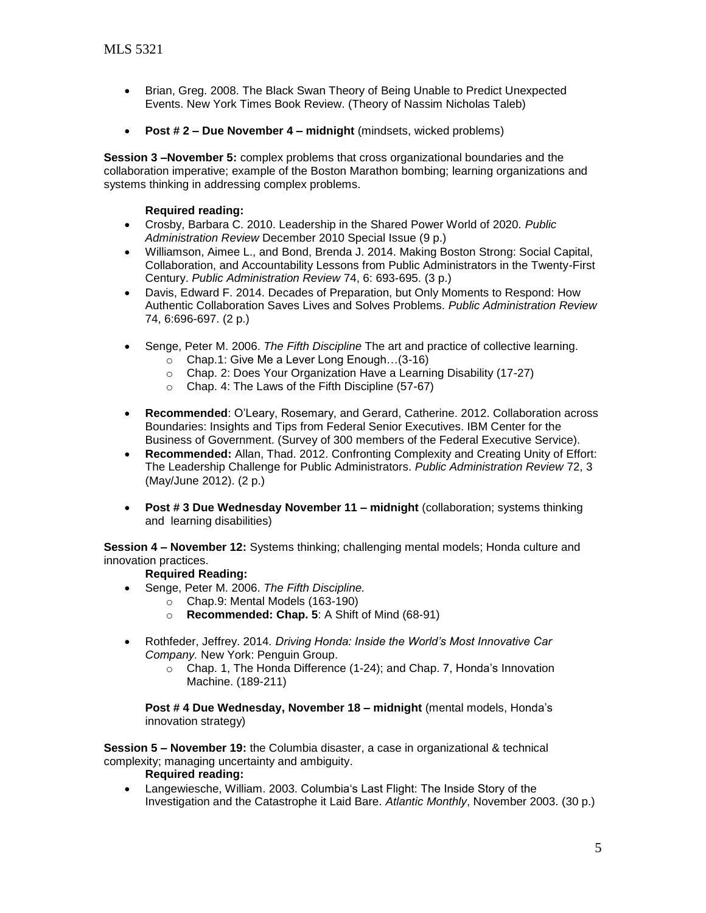- Brian, Greg. 2008. The Black Swan Theory of Being Unable to Predict Unexpected Events. New York Times Book Review. (Theory of Nassim Nicholas Taleb)
- **Post # 2 – Due November 4 – midnight** (mindsets, wicked problems)

**Session 3 –November 5:** complex problems that cross organizational boundaries and the collaboration imperative; example of the Boston Marathon bombing; learning organizations and systems thinking in addressing complex problems.

# **Required reading:**

- Crosby, Barbara C. 2010. Leadership in the Shared Power World of 2020*. Public Administration Review* December 2010 Special Issue (9 p.)
- Williamson, Aimee L., and Bond, Brenda J. 2014. Making Boston Strong: Social Capital, Collaboration, and Accountability Lessons from Public Administrators in the Twenty-First Century. *Public Administration Review* 74, 6: 693-695. (3 p.)
- Davis, Edward F. 2014. Decades of Preparation, but Only Moments to Respond: How Authentic Collaboration Saves Lives and Solves Problems. *Public Administration Review* 74, 6:696-697. (2 p.)
- Senge, Peter M. 2006. *The Fifth Discipline* The art and practice of collective learning.
	- o Chap.1: Give Me a Lever Long Enough…(3-16)
	- o Chap. 2: Does Your Organization Have a Learning Disability (17-27)
	- o Chap. 4: The Laws of the Fifth Discipline (57-67)
- **Recommended**: O'Leary, Rosemary, and Gerard, Catherine. 2012. Collaboration across Boundaries: Insights and Tips from Federal Senior Executives. IBM Center for the Business of Government. (Survey of 300 members of the Federal Executive Service).
- **Recommended:** Allan, Thad. 2012. Confronting Complexity and Creating Unity of Effort: The Leadership Challenge for Public Administrators. *Public Administration Review* 72, 3 (May/June 2012). (2 p.)
- **Post # 3 Due Wednesday November 11 – midnight** (collaboration; systems thinking and learning disabilities)

**Session 4 – November 12:** Systems thinking; challenging mental models; Honda culture and innovation practices.

# **Required Reading:**

- Senge, Peter M. 2006. *The Fifth Discipline.*
	- o Chap.9: Mental Models (163-190)
		- o **Recommended: Chap. 5**: A Shift of Mind (68-91)
- Rothfeder, Jeffrey. 2014*. Driving Honda: Inside the World's Most Innovative Car Company.* New York: Penguin Group.
	- o Chap. 1, The Honda Difference (1-24); and Chap. 7, Honda's Innovation Machine. (189-211)

**Post # 4 Due Wednesday, November 18 – midnight** (mental models, Honda's innovation strategy)

**Session 5 – November 19:** the Columbia disaster, a case in organizational & technical complexity; managing uncertainty and ambiguity.

# **Required reading:**

 Langewiesche, William. 2003. Columbia's Last Flight: The Inside Story of the Investigation and the Catastrophe it Laid Bare. *Atlantic Monthly*, November 2003. (30 p.)